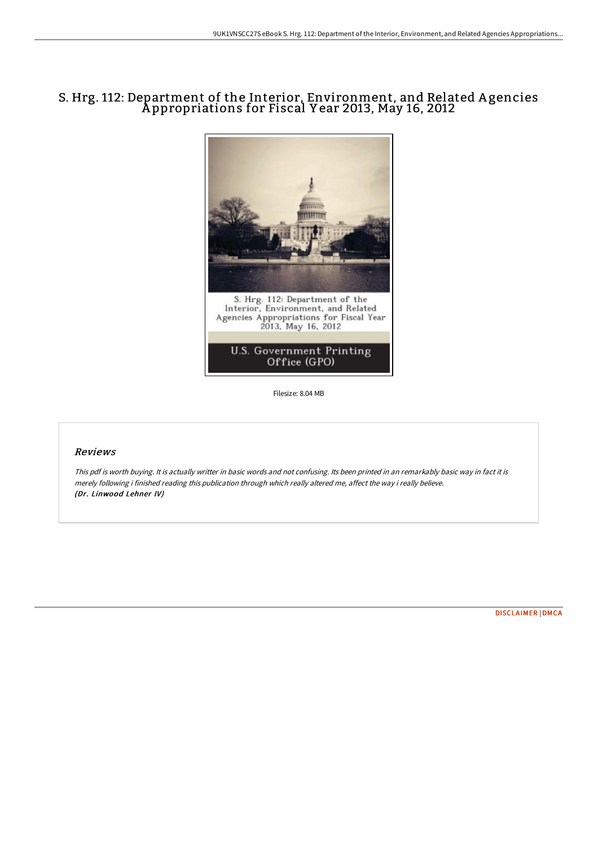# S. Hrg. 112: Department of the Interior, Environment, and Related A gencies A ppropriations for Fiscal Y ear 2013, May 16, 2012



Filesize: 8.04 MB

### Reviews

This pdf is worth buying. It is actually writter in basic words and not confusing. Its been printed in an remarkably basic way in fact it is merely following i finished reading this publication through which really altered me, affect the way i really believe. (Dr. Linwood Lehner IV)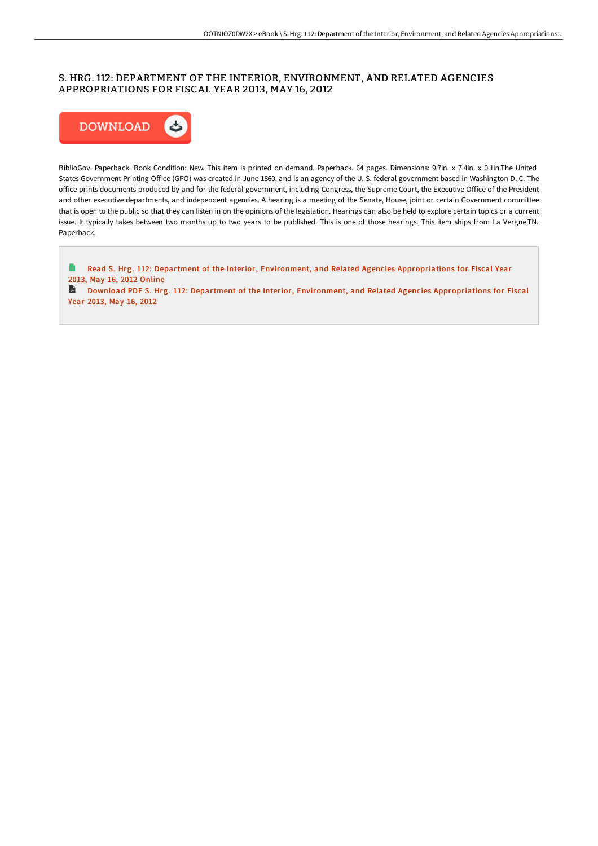## S. HRG. 112: DEPARTMENT OF THE INTERIOR, ENVIRONMENT, AND RELATED AGENCIES APPROPRIATIONS FOR FISCAL YEAR 2013, MAY 16, 2012



BiblioGov. Paperback. Book Condition: New. This item is printed on demand. Paperback. 64 pages. Dimensions: 9.7in. x 7.4in. x 0.1in.The United States Government Printing Office (GPO) was created in June 1860, and is an agency of the U.S. federal government based in Washington D.C. The office prints documents produced by and for the federal government, including Congress, the Supreme Court, the Executive Office of the President and other executive departments, and independent agencies. A hearing is a meeting of the Senate, House, joint or certain Government committee that is open to the public so that they can listen in on the opinions of the legislation. Hearings can also be held to explore certain topics or a current issue. It typically takes between two months up to two years to be published. This is one of those hearings. This item ships from La Vergne,TN. Paperback.